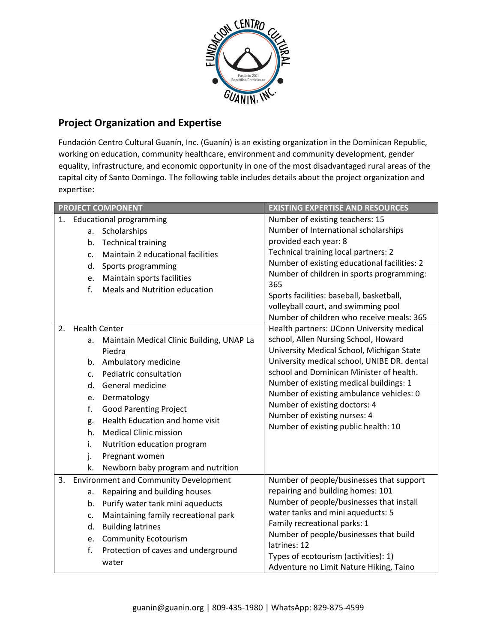

## **Project Organization and Expertise**

Fundación Centro Cultural Guanín, Inc. (Guanín) is an existing organization in the Dominican Republic, working on education, community healthcare, environment and community development, gender equality, infrastructure, and economic opportunity in one of the most disadvantaged rural areas of the capital city of Santo Domingo. The following table includes details about the project organization and expertise:

| <b>PROJECT COMPONENT</b> |                |                                              | <b>EXISTING EXPERTISE AND RESOURCES</b>                                          |
|--------------------------|----------------|----------------------------------------------|----------------------------------------------------------------------------------|
|                          |                | 1. Educational programming                   | Number of existing teachers: 15                                                  |
|                          | а.             | Scholarships                                 | Number of International scholarships                                             |
|                          | b.             | <b>Technical training</b>                    | provided each year: 8                                                            |
|                          | c.             | Maintain 2 educational facilities            | Technical training local partners: 2                                             |
|                          | d.             | Sports programming                           | Number of existing educational facilities: 2                                     |
|                          | e.             | Maintain sports facilities                   | Number of children in sports programming:                                        |
|                          | f.             | Meals and Nutrition education                | 365                                                                              |
|                          |                |                                              | Sports facilities: baseball, basketball,                                         |
|                          |                |                                              | volleyball court, and swimming pool<br>Number of children who receive meals: 365 |
| 2.                       |                | <b>Health Center</b>                         | Health partners: UConn University medical                                        |
|                          |                | Maintain Medical Clinic Building, UNAP La    | school, Allen Nursing School, Howard                                             |
|                          | a.             | Piedra                                       | University Medical School, Michigan State                                        |
|                          |                | b. Ambulatory medicine                       | University medical school, UNIBE DR. dental                                      |
|                          | $\mathsf{C}$ . | Pediatric consultation                       | school and Dominican Minister of health.                                         |
|                          | d.             | General medicine                             | Number of existing medical buildings: 1                                          |
|                          | e.             | Dermatology                                  | Number of existing ambulance vehicles: 0                                         |
|                          | f.             | <b>Good Parenting Project</b>                | Number of existing doctors: 4                                                    |
|                          | g.             | Health Education and home visit              | Number of existing nurses: 4                                                     |
|                          | h.             | <b>Medical Clinic mission</b>                | Number of existing public health: 10                                             |
|                          | i.             | Nutrition education program                  |                                                                                  |
|                          | j.             | Pregnant women                               |                                                                                  |
|                          | k.             | Newborn baby program and nutrition           |                                                                                  |
| 3.                       |                | <b>Environment and Community Development</b> | Number of people/businesses that support                                         |
|                          | a.             | Repairing and building houses                | repairing and building homes: 101                                                |
|                          |                | b. Purify water tank mini aqueducts          | Number of people/businesses that install                                         |
|                          |                | Maintaining family recreational park         | water tanks and mini aqueducts: 5                                                |
|                          | c.             | <b>Building latrines</b>                     | Family recreational parks: 1                                                     |
|                          | d.             |                                              | Number of people/businesses that build                                           |
|                          |                | e. Community Ecotourism                      | latrines: 12                                                                     |
|                          | f.             | Protection of caves and underground          | Types of ecotourism (activities): 1)                                             |
|                          |                | water                                        | Adventure no Limit Nature Hiking, Taino                                          |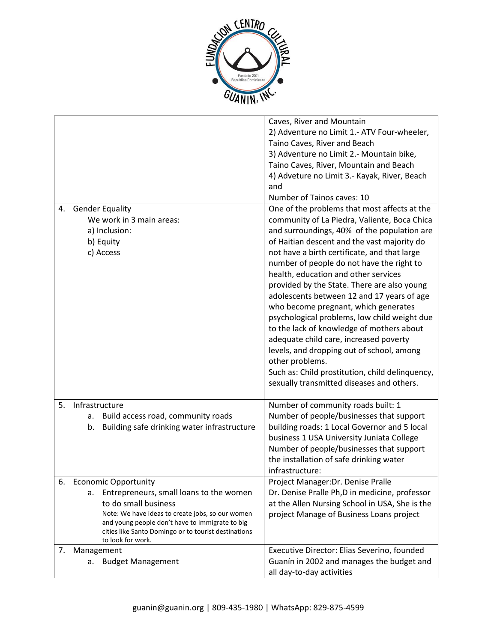

|    |                                                                                                                                                                                                                                                                                          | Caves, River and Mountain<br>2) Adventure no Limit 1.- ATV Four-wheeler,<br>Taino Caves, River and Beach<br>3) Adventure no Limit 2.- Mountain bike,<br>Taino Caves, River, Mountain and Beach<br>4) Adveture no Limit 3.- Kayak, River, Beach<br>and<br>Number of Tainos caves: 10                                                                                                                                                                                                                                                                                                                                                                                                                                                                                         |
|----|------------------------------------------------------------------------------------------------------------------------------------------------------------------------------------------------------------------------------------------------------------------------------------------|-----------------------------------------------------------------------------------------------------------------------------------------------------------------------------------------------------------------------------------------------------------------------------------------------------------------------------------------------------------------------------------------------------------------------------------------------------------------------------------------------------------------------------------------------------------------------------------------------------------------------------------------------------------------------------------------------------------------------------------------------------------------------------|
| 4. | <b>Gender Equality</b><br>We work in 3 main areas:<br>a) Inclusion:<br>b) Equity<br>c) Access                                                                                                                                                                                            | One of the problems that most affects at the<br>community of La Piedra, Valiente, Boca Chica<br>and surroundings, 40% of the population are<br>of Haitian descent and the vast majority do<br>not have a birth certificate, and that large<br>number of people do not have the right to<br>health, education and other services<br>provided by the State. There are also young<br>adolescents between 12 and 17 years of age<br>who become pregnant, which generates<br>psychological problems, low child weight due<br>to the lack of knowledge of mothers about<br>adequate child care, increased poverty<br>levels, and dropping out of school, among<br>other problems.<br>Such as: Child prostitution, child delinquency,<br>sexually transmitted diseases and others. |
| 5. | Infrastructure<br>Build access road, community roads<br>a.<br>Building safe drinking water infrastructure<br>b.                                                                                                                                                                          | Number of community roads built: 1<br>Number of people/businesses that support<br>building roads: 1 Local Governor and 5 local<br>business 1 USA University Juniata College<br>Number of people/businesses that support<br>the installation of safe drinking water<br>infrastructure:                                                                                                                                                                                                                                                                                                                                                                                                                                                                                       |
| 6. | <b>Economic Opportunity</b><br>Entrepreneurs, small loans to the women<br>а.<br>to do small business<br>Note: We have ideas to create jobs, so our women<br>and young people don't have to immigrate to big<br>cities like Santo Domingo or to tourist destinations<br>to look for work. | Project Manager: Dr. Denise Pralle<br>Dr. Denise Pralle Ph, D in medicine, professor<br>at the Allen Nursing School in USA, She is the<br>project Manage of Business Loans project                                                                                                                                                                                                                                                                                                                                                                                                                                                                                                                                                                                          |
| 7. | Management<br>a. Budget Management                                                                                                                                                                                                                                                       | Executive Director: Elias Severino, founded<br>Guanín in 2002 and manages the budget and<br>all day-to-day activities                                                                                                                                                                                                                                                                                                                                                                                                                                                                                                                                                                                                                                                       |